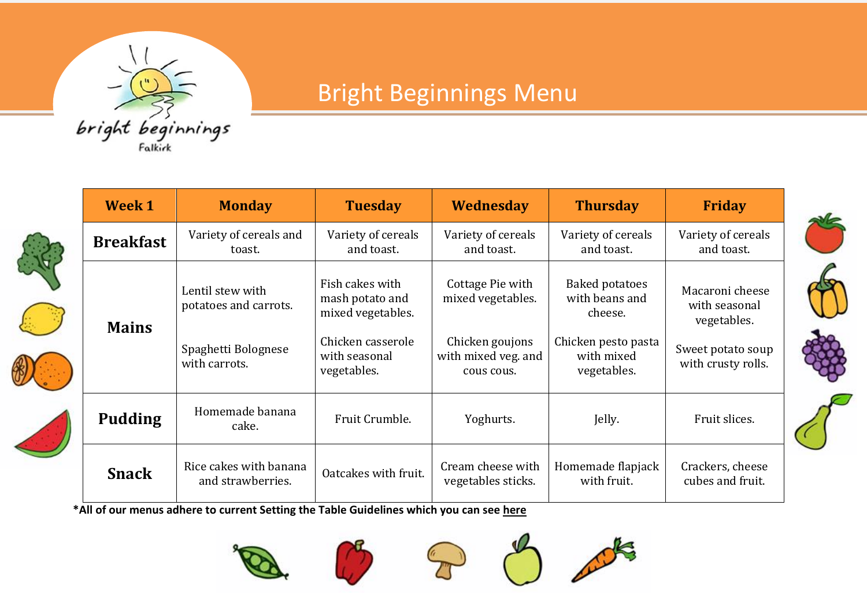

倦

## Bright Beginnings Menu

|               | <b>Week 1</b>    | <b>Monday</b>                               | <b>Tuesday</b>                                          | Wednesday                                            | <b>Thursday</b>                                    | <b>Friday</b>                                   |
|---------------|------------------|---------------------------------------------|---------------------------------------------------------|------------------------------------------------------|----------------------------------------------------|-------------------------------------------------|
| $\frac{1}{2}$ | <b>Breakfast</b> | Variety of cereals and<br>toast.            | Variety of cereals<br>and toast.                        | Variety of cereals<br>and toast.                     | Variety of cereals<br>and toast.                   | Variety of cereals<br>and toast.                |
|               | <b>Mains</b>     | Lentil stew with<br>potatoes and carrots.   | Fish cakes with<br>mash potato and<br>mixed vegetables. | Cottage Pie with<br>mixed vegetables.                | <b>Baked potatoes</b><br>with beans and<br>cheese. | Macaroni cheese<br>with seasonal<br>vegetables. |
|               |                  | Spaghetti Bolognese<br>with carrots.        | Chicken casserole<br>with seasonal<br>vegetables.       | Chicken goujons<br>with mixed veg. and<br>cous cous. | Chicken pesto pasta<br>with mixed<br>vegetables.   | Sweet potato soup<br>with crusty rolls.         |
|               | <b>Pudding</b>   | Homemade banana<br>cake.                    | Fruit Crumble.                                          | Yoghurts.                                            | Jelly.                                             | Fruit slices.                                   |
|               | <b>Snack</b>     | Rice cakes with banana<br>and strawberries. | Oatcakes with fruit.                                    | Cream cheese with<br>vegetables sticks.              | Homemade flapjack<br>with fruit.                   | Crackers, cheese<br>cubes and fruit.            |

**\*All of our menus adhere to current Setting the Table Guidelines which you can see [here](http://www.healthscotland.com/uploads/documents/30341-Setting%20the%20Table.pdf)**











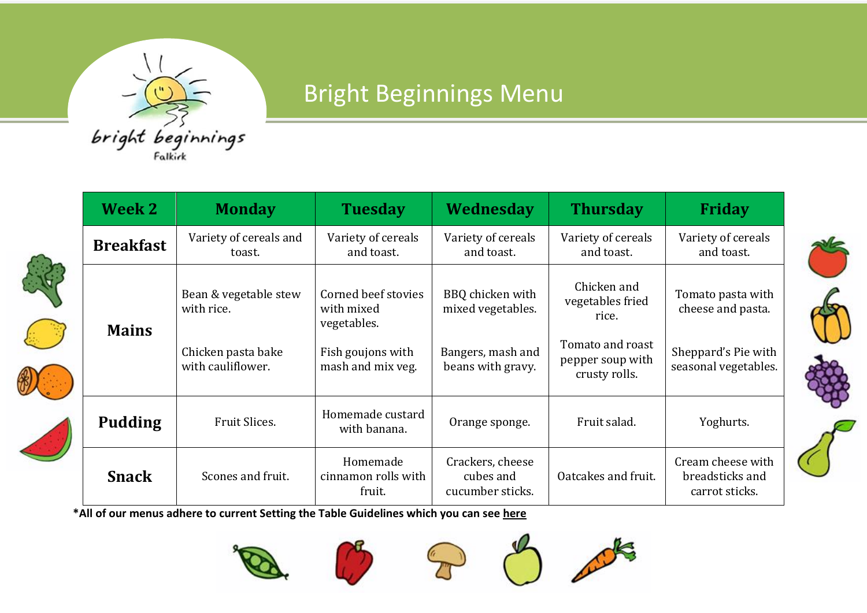

## Bright Beginnings Menu

|  | Week 2           | <b>Monday</b>                           | <b>Tuesday</b>                                   | Wednesday                                         | <b>Thursday</b>                                       | <b>Friday</b>                                          |
|--|------------------|-----------------------------------------|--------------------------------------------------|---------------------------------------------------|-------------------------------------------------------|--------------------------------------------------------|
|  | <b>Breakfast</b> | Variety of cereals and<br>toast.        | Variety of cereals<br>and toast.                 | Variety of cereals<br>and toast.                  | Variety of cereals<br>and toast.                      | Variety of cereals<br>and toast.                       |
|  | <b>Mains</b>     | Bean & vegetable stew<br>with rice.     | Corned beef stovies<br>with mixed<br>vegetables. | BBQ chicken with<br>mixed vegetables.             | Chicken and<br>vegetables fried<br>rice.              | Tomato pasta with<br>cheese and pasta.                 |
|  |                  | Chicken pasta bake<br>with cauliflower. | Fish goujons with<br>mash and mix veg.           | Bangers, mash and<br>beans with gravy.            | Tomato and roast<br>pepper soup with<br>crusty rolls. | Sheppard's Pie with<br>seasonal vegetables.            |
|  | <b>Pudding</b>   | Fruit Slices.                           | Homemade custard<br>with banana.                 | Orange sponge.                                    | Fruit salad.                                          | Yoghurts.                                              |
|  | <b>Snack</b>     | Scones and fruit.                       | Homemade<br>cinnamon rolls with<br>fruit.        | Crackers, cheese<br>cubes and<br>cucumber sticks. | Oatcakes and fruit.                                   | Cream cheese with<br>breadsticks and<br>carrot sticks. |

**\*All of our menus adhere to current Setting the Table Guidelines which you can see [here](http://www.healthscotland.com/uploads/documents/30341-Setting%20the%20Table.pdf)**